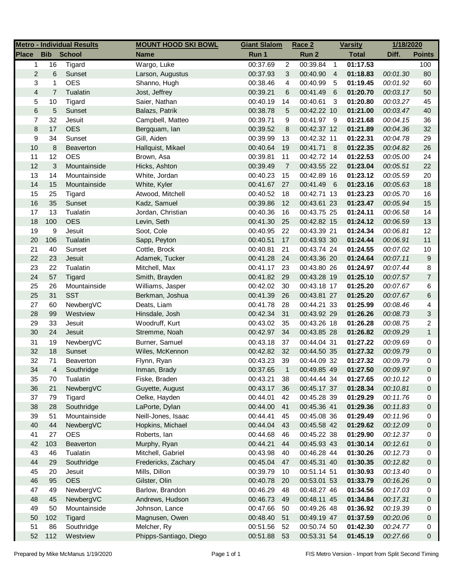|                |                | <b>Metro - Individual Results</b> | <b>MOUNT HOOD SKI BOWL</b> | <b>Giant Slalom</b> |                | Race 2                       |                | <b>Varsity</b> | 1/18/2020 |                |
|----------------|----------------|-----------------------------------|----------------------------|---------------------|----------------|------------------------------|----------------|----------------|-----------|----------------|
| <b>Place</b>   | <b>Bib</b>     | <b>School</b>                     | <b>Name</b>                | Run 1               |                | Run 2                        |                | <b>Total</b>   | Diff.     | <b>Points</b>  |
| $\mathbf{1}$   | 16             | Tigard                            | Wargo, Luke                | 00:37.69            | $\overline{c}$ | 00:39.84                     | $\overline{1}$ | 01:17.53       |           | 100            |
| $\overline{c}$ | 6              | Sunset                            | Larson, Augustus           | 00:37.93            | 3              | 00:40.90                     | $\overline{4}$ | 01:18.83       | 00:01.30  | 80             |
| 3              | 1              | <b>OES</b>                        | Shanno, Hugh               | 00:38.46            | 4              | 00:40.99                     | -5             | 01:19.45       | 00:01.92  | 60             |
| $\overline{4}$ | $\overline{7}$ | Tualatin                          | Jost, Jeffrey              | 00:39.21            | 6              | 00:41.49                     | $-6$           | 01:20.70       | 00:03.17  | 50             |
| 5              | 10             | Tigard                            | Saier, Nathan              | 00:40.19            | 14             | 00:40.61                     | -3             | 01:20.80       | 00:03.27  | 45             |
| 6              | 5              | Sunset                            | Balazs, Patrik             | 00:38.78            | 5              | 00:42.22 10                  |                | 01:21.00       | 00:03.47  | 40             |
| 7              | 32             | Jesuit                            | Campbell, Matteo           | 00:39.71            | 9              | 00:41.97 9                   |                | 01:21.68       | 00:04.15  | 36             |
| 8              | 17             | <b>OES</b>                        | Bergquam, lan              | 00:39.52            | 8              | 00:42.37 12                  |                | 01:21.89       | 00:04.36  | 32             |
| 9              | 34             | Sunset                            | Gill, Aiden                | 00:39.99            | 13             | 00:42.32 11                  |                | 01:22.31       | 00:04.78  | 29             |
| 10             | 8              | Beaverton                         | Hallquist, Mikael          | 00:40.64            | 19             | 00:41.71 8                   |                | 01:22.35       | 00:04.82  | 26             |
| 11             | 12             | <b>OES</b>                        | Brown, Asa                 | 00:39.81            | 11             | 00:42.72 14                  |                | 01:22.53       | 00:05.00  | 24             |
| 12             | 3              | Mountainside                      | Hicks, Ashton              | 00:39.49            | $\overline{7}$ | 00:43.55 22                  |                | 01:23.04       | 00:05.51  | 22             |
| 13             | 14             | Mountainside                      | White, Jordan              | 00:40.23            | 15             | 00:42.89 16                  |                | 01:23.12       | 00:05.59  | 20             |
| 14             | 15             | Mountainside                      | White, Kyler               | 00:41.67            | 27             | 00:41.49 6                   |                | 01:23.16       | 00:05.63  | 18             |
| 15             | 25             | Tigard                            | Atwood, Mitchell           | 00:40.52            | 18             | 00:42.71 13                  |                | 01:23.23       | 00:05.70  | 16             |
| 16             | 35             | Sunset                            | Kadz, Samuel               | 00:39.86            | 12             | 00:43.61 23                  |                | 01:23.47       | 00:05.94  | 15             |
| 17             | 13             | Tualatin                          | Jordan, Christian          | 00:40.36            | 16             | 00:43.75 25                  |                | 01:24.11       | 00:06.58  | 14             |
| 18             | 100            | <b>OES</b>                        | Levin, Seth                | 00:41.30            | 25             | 00:42.82 15                  |                | 01:24.12       | 00:06.59  | 13             |
| 19             | 9              | Jesuit                            | Soot, Cole                 | 00:40.95            | 22             | 00:43.39 21                  |                | 01:24.34       | 00:06.81  | 12             |
| 20             | 106            | Tualatin                          | Sapp, Peyton               | 00:40.51            | 17             | 00:43.93 30                  |                | 01:24.44       | 00:06.91  | 11             |
| 21             | 40             | Sunset                            | Cottle, Brock              | 00:40.81            | 21             | 00:43.74 24                  |                | 01:24.55       | 00:07.02  | 10             |
| 22             | 23             | Jesuit                            | Adamek, Tucker             | 00:41.28            | 24             | 00:43.36 20                  |                | 01:24.64       | 00:07.11  | $9\,$          |
| 23             | 22             | Tualatin                          | Mitchell, Max              | 00:41.17            | 23             | 00:43.80 26                  |                | 01:24.97       | 00:07.44  | 8              |
| 24             | 57             | Tigard                            | Smith, Brayden             | 00:41.82            | 29             | 00:43.28 19                  |                | 01:25.10       | 00:07.57  | $\overline{7}$ |
| 25             | 26             | Mountainside                      | Williams, Jasper           | 00:42.02            | 30             | 00:43.18 17                  |                | 01:25.20       | 00:07.67  | 6              |
| 25             | 31             | <b>SST</b>                        | Berkman, Joshua            | 00:41.39            | 26             | 00:43.81 27                  |                | 01:25.20       | 00:07.67  | 6              |
| 27             | 60             | NewbergVC                         | Deats, Liam                | 00:41.78            | 28             | 00:44.21 33                  |                | 01:25.99       | 00:08.46  | 4              |
| 28             | 99             | Westview                          | Hinsdale, Josh             | 00:42.34            | 31             | 00:43.92 29                  |                | 01:26.26       | 00:08.73  | $\mathbf{3}$   |
| 29             | 33             | Jesuit                            | Woodruff, Kurt             | 00:43.02            | 35             | 00:43.26 18                  |                | 01:26.28       | 00:08.75  | $\overline{2}$ |
| 30             | 24             | Jesuit                            | Stremme, Noah              | 00:42.97            | 34             | 00:43.85 28                  |                | 01:26.82       | 00:09.29  | $\mathbf{1}$   |
| 31             | 19             | NewbergVC                         | Burner, Samuel             | 00:43.18            | 37             | 00:44.04 31                  |                | 01:27.22       | 00:09.69  | 0              |
| 32             |                |                                   |                            |                     |                | 00:44.50 35                  |                | 01:27.32       |           |                |
|                | 18             | Sunset                            | Wiles, McKennon            | 00:42.82            | 32             |                              |                |                | 00:09.79  | $\mathbf 0$    |
| 32<br>34       | 71             | Beaverton                         | Flynn, Ryan                | 00:43.23            | 39             | 00:44.09 32<br>$00:49.85$ 49 |                | 01:27.32       | 00:09.79  | 0              |
|                | 4              | Southridge                        | Inman, Brady               | 00:37.65            | $\overline{1}$ |                              |                | 01:27.50       | 00:09.97  | $\Omega$       |
| 35             | 70             | Tualatin                          | Fiske, Braden              | 00:43.21            | 38             | 00:44.44 34                  |                | 01:27.65       | 00:10.12  | 0              |
| 36             | 21             | NewbergVC                         | Guyette, August            | 00:43.17            | 36             | 00:45.17 37                  |                | 01:28.34       | 00:10.81  | 0              |
| 37             | 79             | Tigard                            | Oelke, Hayden              | 00:44.01            | 42             | 00:45.28 39                  |                | 01:29.29       | 00:11.76  | 0              |
| 38             | 28             | Southridge                        | LaPorte, Dylan             | 00:44.00            | 41             | 00:45.36 41                  |                | 01:29.36       | 00:11.83  | $\mathbf 0$    |
| 39             | 51             | Mountainside                      | Neill-Jones, Isaac         | 00:44.41            | 45             | 00:45.08 36                  |                | 01:29.49       | 00:11.96  | 0              |
| 40             | 44             | NewbergVC                         | Hopkins, Michael           | 00:44.04            | 43             | 00:45.58 42                  |                | 01:29.62       | 00:12.09  | 0              |
| 41             | 27             | <b>OES</b>                        | Roberts, lan               | 00:44.68            | 46             | 00:45.22 38                  |                | 01:29.90       | 00:12.37  | 0              |
| 42             | 103            | Beaverton                         | Murphy, Ryan               | 00:44.21            | 44             | 00:45.93 43                  |                | 01:30.14       | 00:12.61  | 0              |
| 43             | 46             | Tualatin                          | Mitchell, Gabriel          | 00:43.98            | 40             | 00:46.28 44                  |                | 01:30.26       | 00:12.73  | 0              |
| 44             | 29             | Southridge                        | Fredericks, Zachary        | 00:45.04            | 47             | 00:45.31 40                  |                | 01:30.35       | 00:12.82  | 0              |
| 45             | 20             | Jesuit                            | Mills, Dillon              | 00:39.79            | 10             | 00:51.14 51                  |                | 01:30.93       | 00:13.40  | 0              |
| 46             | 95             | <b>OES</b>                        | Gilster, Olin              | 00:40.78            | 20             | 00:53.01 53                  |                | 01:33.79       | 00:16.26  | 0              |
| 47             | 49             | NewbergVC                         | Barlow, Brandon            | 00:46.29            | 48             | 00:48.27 46                  |                | 01:34.56       | 00:17.03  | 0              |
| 48             | 45             | NewbergVC                         | Andrews, Hudson            | 00:46.73            | 49             | 00:48.11 45                  |                | 01:34.84       | 00:17.31  | 0              |
| 49             | 50             | Mountainside                      | Johnson, Lance             | 00:47.66            | 50             | 00:49.26 48                  |                | 01:36.92       | 00:19.39  | 0              |
| 50             | 102            | Tigard                            | Magnusen, Owen             | 00:48.40            | 51             | 00:49.19 47                  |                | 01:37.59       | 00:20.06  | 0              |
| 51             | 86             | Southridge                        | Melcher, Ry                | 00:51.56            | 52             | 00:50.74 50                  |                | 01:42.30       | 00:24.77  | 0              |
| 52             | 112            | Westview                          | Phipps-Santiago, Diego     | 00:51.88            | 53             | 00:53.31 54                  |                | 01:45.19       | 00:27.66  | 0              |